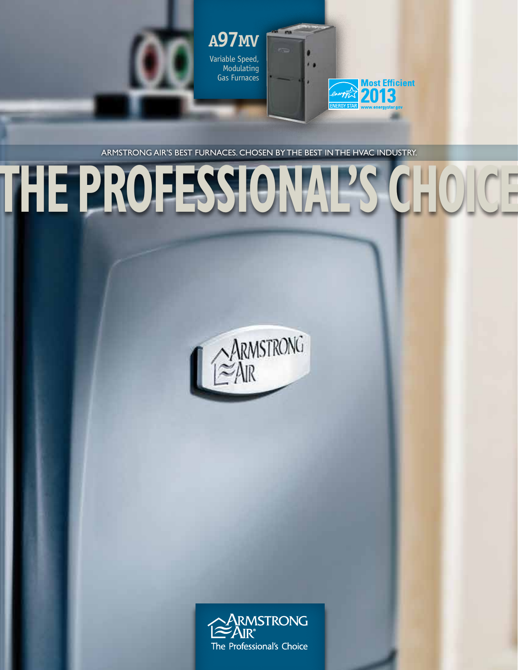



Armstrong Air's best furnaces. Chosen by the best in the HVAC industry.

Modulating Gas Furnaces  $\sim$ 

# **THE PROFESSIONAL'S CHOICE**



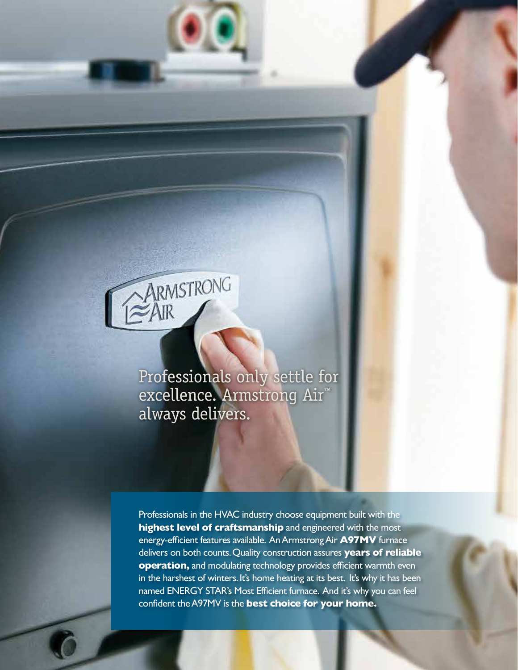

Professionals only settle for excellence. Armstrong Air™ always delivers.

Professionals in the HVAC industry choose equipment built with the **highest level of craftsmanship** and engineered with the most energy-efficient features available. An Armstrong Air **A97MV** furnace delivers on both counts. Quality construction assures **years of reliable operation,** and modulating technology provides efficient warmth even in the harshest of winters. It's home heating at its best. It's why it has been named ENERGY STAR's Most Efficient furnace. And it's why you can feel confident the A97MV is the **best choice for your home.**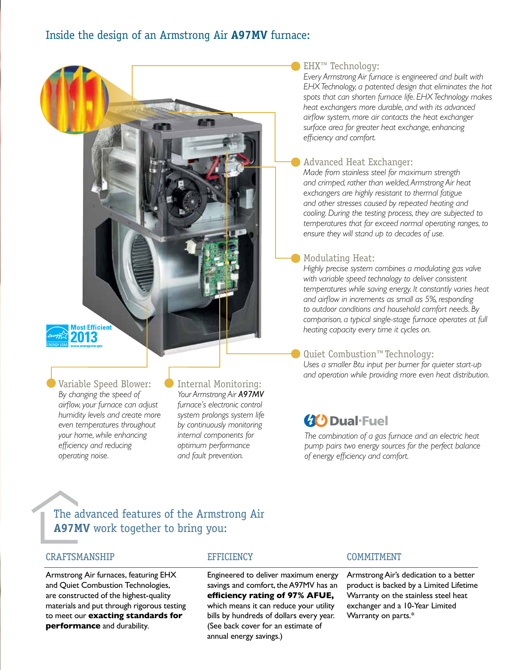#### ■ EHX<sup>™</sup> Technology:

*Every Armstrong Air furnace is engineered and built with EHX Technology, a patented design that eliminates the hot spots that can shorten furnace life. EHX Technology makes heat exchangers more durable, and with its advanced airflow system, more air contacts the heat exchanger surface area for greater heat exchange, enhancing efficiency and comfort.*

#### Advanced Heat Exchanger:

*Made from stainless steel for maximum strength and crimped, rather than welded, Armstrong Air heat exchangers are highly resistant to thermal fatigue and other stresses caused by repeated heating and cooling. During the testing process, they are subjected to temperatures that far exceed normal operating ranges, to ensure they will stand up to decades of use.*

## Modulating Heat:

*Highly precise system combines a modulating gas valve with variable speed technology to deliver consistent temperatures while saving energy. It constantly varies heat and airflow in increments as small as 5%, responding to outdoor conditions and household comfort needs. By comparison, a typical single-stage furnace operates at full heating capacity every time it cycles on.*

## Quiet Combustion™ Technology:

*Uses a smaller Btu input per burner for quieter start-up and operation while providing more even heat distribution.*

# **40 Dual-Fuel**

*The combination of a gas furnace and an electric heat pump pairs two energy sources for the perfect balance of energy efficiency and comfort.*

## The advanced features of the Armstrong Air **A97MV** work together to bring you:

## CRAFTSMANSHIP

Armstrong Air furnaces, featuring EHX and Quiet Combustion Technologies, are constructed of the highest-quality materials and put through rigorous testing to meet our **exacting standards for performance** and durability.

Variable Speed Blower: *By changing the speed of airflow, your furnace can adjust humidity levels and create more even temperatures throughout your home, while enhancing efficiency and reducing operating noise.*

**Most Efficient** 2013

#### **EFFICIENCY**

Internal Monitoring: *Your Armstrong Air A97MV furnace's electronic control system prolongs system life by continuously monitoring internal components for optimum performance and fault prevention.*

> Engineered to deliver maximum energy savings and comfort, the A97MV has an **efficiency rating of 97% AFUE,**  which means it can reduce your utility bills by hundreds of dollars every year. (See back cover for an estimate of annual energy savings.)

#### COMMITMENT

Armstrong Air's dedication to a better product is backed by a Limited Lifetime Warranty on the stainless steel heat exchanger and a 10-Year Limited Warranty on parts.\*